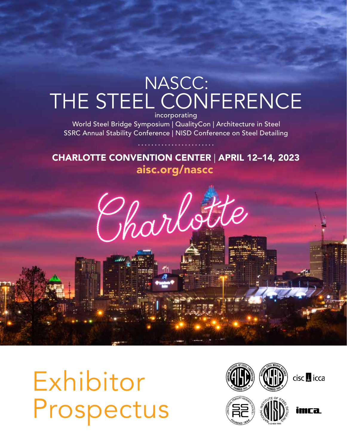# NASCC: THE STEEL CONFERENCE incorporating

 World Steel Bridge Symposium | QualityCon | Architecture in Steel SSRC Annual Stability Conference | NISD Conference on Steel Detailing

aisc.org/nascc CHARLOTTE CONVENTION CENTER | APRIL 12–14, 2023



Exhibitor Prospectus

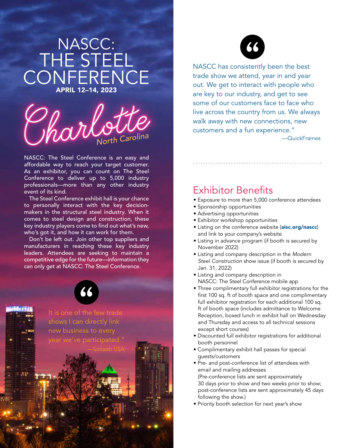# NASCC: THE STEEL CONFERENCE APRIL 12–14, 2023



NASCC: The Steel Conference is an easy and affordable way to reach your target customer. As an exhibitor, you can count on The Steel Conference to deliver up to 5,000 industry professionals—more than any other industry event of its kind.

The Steel Conference exhibit hall is your chance to personally interact with the key decisionmakers in the structural steel industry. When it comes to steel design and construction, these key industry players come to find out what's new, who's got it, and how it can work for them.

Don't be left out. Join other top suppliers and manufacturers in reaching these key industry leaders. Attendees are seeking to maintain a competitive edge for the future—information they can only get at NASCC: The Steel Conference.



It is one of the few trade shows I can directly link new business to every year we've participated."



NASCC has consistently been the best trade show we attend, year in and year out. We get to interact with people who are key to our industry, and get to see some of our customers face to face who live across the country from us. We always walk away with new connections, new customers and a fun experience."

........................................................—QuickFrames

### Exhibitor Benefits

• Exposure to more than 5,000 conference attendees

- Sponsorship opportunities
- Advertising opportunities
- Exhibitor workshop opportunities
- Listing on the conference website (aisc.org/nascc) and link to your company's website
- Listing in advance program (if booth is secured by November 2022)
- Listing and company description in the *Modern Steel Construction* show issue (if booth is secured by Jan. 31, 2022)
- Listing and company description in NASCC: The Steel Conference mobile app
- Three complimentary full exhibitor registrations for the first 100 sq. ft of booth space and one complimentary full exhibitor registration for each additional 100 sq. ft of booth space (includes admittance to Welcome Reception, boxed lunch in exhibit hall on Wednesday and Thursday and access to all technical sessions except short courses)
- Discounted full exhibitor registrations for additional booth personnel
- Complimentary exhibit hall passes for special guests/customers
- Pre- and post-conference list of attendees with email and mailing addresses (Pre-conference lists are sent approximately 30 days prior to show and two weeks prior to show; post-conference lists are sent approximately 45 days following the show.)
- Priority booth selection for next year's show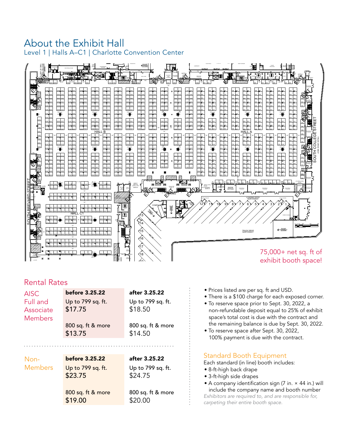### About the Exhibit Hall **All and Australian Conference** of the Second Second Second Second Second Second Second Second Second Second Second Second Second Second Second Second Second Second Second Second Second Second Second Level 1 | Halls A–C1 | Charlotte Convention Center



### Rental Rates

| <b>Members</b>         | 800 sq. ft & more<br>\$13.75                                               | \$18.50<br>800 sq. ft & more<br>\$14.50                            |
|------------------------|----------------------------------------------------------------------------|--------------------------------------------------------------------|
| Non-<br><b>Members</b> | <b>before 3.25.22</b><br>Up to 799 sq. ft.<br>\$23.75<br>800 sq. ft & more | after 3.25.22<br>Up to 799 sq. ft.<br>\$24.75<br>800 sq. ft & more |

- Prices listed are per sq. ft and USD.
- There is a \$100 charge for each exposed corner.
- To reserve space prior to Sept. 30, 2022, a non-refundable deposit equal to 25% of exhibit space's total cost is due with the contract and the remaining balance is due by Sept. 30, 2022.
- To reserve space after Sept. 30, 2022, 100% payment is due with the contract.

#### Standard Booth Equipment

Each standard (in line) booth includes:

- 8-ft-high back drape
- 3-ft-high side drapes
- A company identification sign (7 in. × 44 in.) will include the company name and booth number *Exhibitors are required to, and are responsible for, carpeting their entire booth space.*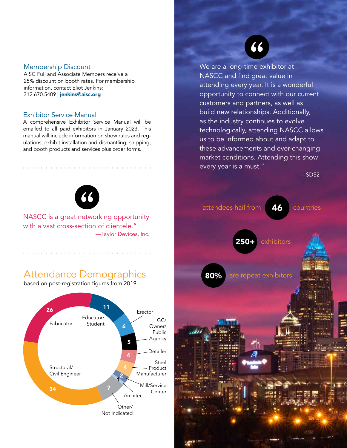#### Membership Discount

AISC Full and Associate Members receive a 25% discount on booth rates. For membership information, contact Eliot Jenkins: 312.670.5409 | jenkins@aisc.org

#### Exhibitor Service Manual

A comprehensive Exhibitor Service Manual will be emailed to all paid exhibitors in January 2023. This manual will include information on show rules and regulations, exhibit installation and dismantling, shipping, and booth products and services plus order forms.



NASCC is a great networking opportunity with a vast cross-section of clientele." —Taylor Devices, Inc.

## Attendance Demographics

based on post-registration figures from 2019



66

We are a long-time exhibitor at NASCC and find great value in attending every year. It is a wonderful opportunity to connect with our current customers and partners, as well as build new relationships. Additionally, as the industry continues to evolve technologically, attending NASCC allows us to be informed about and adapt to these advancements and ever-changing market conditions. Attending this show every year is a must."

—SDS2

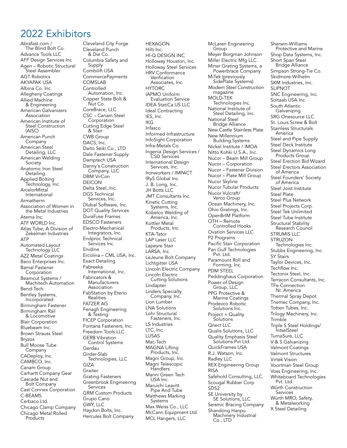### 2022 Exhibitors

Abrafast.com / The Blind Bolt Co. Advance Tools LLC AFF Design Services Inc Agen – Robotic Structural Steel Assembler AGT Robotics AKYAPAK USA Albina Co. Inc. Allegheny Coatings Allied Machine & Engineering American Galvanizers Association American Institute of Steel Construction (AISC) American Punch Company American Steel<br>Detailing, LLC American Welding Society Anatomic Iron Steel Detailing Applied Bolting <sup>'</sup> Technology, Inc.<br>ArcelorMittal **International** Armatherm Association of Women in the Metal Industries Atema Inc. ATF WORLD Inc. Atlas Tube, A Division of Zekelman Industries ATP Automated Layout Technology LLC AZZ Metal Coatings Baco Enterprises Inc. Bamal Fastener Corporation Beamcut Systems / Machitech Automation Bend-Tech Bentley Systems, Incorporated Birmingham Fastener Birmingham Rail & Locomotive Blair Corporation Bluebeam Inc. Brown Strauss Steel Bryzos Bull Moose Tube Company CADeploy, Inc. CAMBCO, Inc. Canam Group Carhartt Company Gear Cascade Nut and<br>Bolt Company Cast Connex Corporation C-BEAMS Cerbaco Ltd. Chicago Clamp Company Chicago Metal Rolled Products

Cleveland City Forge Cleveland Punch & Die Co. Columbia Safety and Supply Combilift USA CommercePayments COMSLAB **Controlled** Automation, Inc. Copper State Bolt & Nut Co. CoreBrace, LLC CSC – Canam Steel Corporation Cutting Edge Steel & Stair CWB Group DACS, Inc. Daito Seiki Co., LTD Dale Fastener Supply Damptech USA Danny's Construction Company, LLC DBM VirCon DEICON Delta Steel, Inc. DGS Technical Services, Inc. Dlubal Software, Inc. DOT Quality Services DuraFuse Frames EDSCO Fasteners Electro-Mechanical Integrators, Inc. Endproc Technical Services Inc. Enidine Ercolina – CML USA, Inc. Exact Detailing Fabreeka International, Inc. Fabricators & Manufacturers Association FabStation by Eterio Realities FATZER AG Fenagh Engineering & Testing FICEP Corporation Fontana Fasteners, Inc. Freedom Tools LLC Control Systems Gerdau Girder-Slab Technologies, LLC GIZA Graitec Grating Fasteners Greenbrook Engineering **Services** GRM Custom Products Grupo Cano GWY, LLC Haydon Bolts, Inc. Hercules Bolt Company

HEXAGON Hilti Inc. HI-Q DESIGN INC Holloway Houston, Inc. Holloway Steel Services HRV Conformance Verification Associates, Inc. **HYTORC** IAPMO Uniform Evaluation Service IDEA StatiCa US LLC Ideal Contracting IES, Inc. IKG Infasco Informed Infrastructure InfoSight Corporation Infra-Metals Co. Ingenia Design Services / CSD Services International Design Services, Inc. Ironworkers / IMPACT IRyS Global Inc. J. B. Long, Inc. JH Botts LLC JMT Consultants Inc. Kinetic Cutting Systems, Inc. Kobelco Welding of America, Inc. Kottler Metal Products, Inc. KTA-Tator LAP Laser LLC Lapeyre Stair LARSA, Inc. LeJeune Bolt Company Lichtgitter USA Lincoln Electric Company Lincoln Electric Cutting Solutions Lindapter Linders Specialty Company, Inc. Lion Lumber LNA Solutions Lohr Structural Fasteners, Inc. LS Industries LTC, Inc. LUSAS Mac-Tech MAGNA Lifting Products, Inc. Magni Group, Inc. Magni Telescopic **Handlers** Manni Green Tech USA Inc. Maruichi Leavitt Pipe And Tube Matthews Marking Systems Max Weiss Co., LLC McCann Equipment Ltd. MCL Hangers, LLC

McLaren Engineering Group Meyer Borgman Johnson Miller Electric Mfg LLC Miner Grating Systems, a Powerbrace Company MiTek (previously SidePlate Systems) *Modern Steel Construction*  magazine MOLD-TEK Technologies Inc. National Institute of Steel Detailing, Inc. National Steel Bridge Alliance New Castle Stainless Plate New Millennium Building Systems Nickel Institute / IMOA Nitto Kohki U.S.A., Inc. Nucor – Beam Mill Group Nucor – Corporation Nucor – Fastener Division Nucor – Plate Mill Group Nucor Skyline Nucor Tubular Products Nucor Vulcraft/ Verco Group Ocean Machinery, Inc. Ohio Gratings, Inc. OpenBrIM Platform OTH – Remote Controlled Hooks Ovation Services LLC P2 Programs Pacific Stair Corporation Pan Gulf Technologies Pvt. Ltd. Paramount Roll and Forming, Inc. PDM STEEL Peddinghaus Corporation Power of Design Group, LLC PPG Protective & Marine Coatings Prodevco Robotic<br>Solutions Inc. Project + Quality **Solutions** Qnect LLC Qualis Solutions, LLC Quality Emphasis Steel Solutions Pvt Ltd. QuickFrames USA R.J. Watson, Inc. Radley LLC REX Engineering Group RISA Safehold Consulting, LLC Scougal Rubber Corp SDS2 SE University by SE Solutions, LLC Seismic Bracing Company Shandong Hanpu Machinery Industrial Co., LTD

Sherwin-Williams Protective and Marine Shop Data Systems, Inc. Short Span Steel Bridge Alliance Simpson Strong-Tie Co. Skidmore-Wilhelm SKM Industries, Inc. SLIPNOT SNC Engineering, Inc. Soitaab USA Inc South Atlantic Galvanizing SRG Onesource LLC St. Louis Screw & Bolt Stainless Structurals America Steel and Pipe Supply Steel Deck Institute Steel Dynamics Long Products Group Steel Erection Bid Wizard Steel Erectors Association of America Steel Founders' Society of America Steel Joist Institute Steel Plate Steel Plus Network Steel Projects Corp. Steel Tek Unlimited Steel Tube Institute Structural Stability Research Council STRUMIS LLC **STRUZON** Technologies Inc. Stubbs Engineering, Inc. SY Stairs Taylor Devices, Inc. Techflow Inc. Tectonix Steel, Inc. Terracon Consultants, Inc. TFe Connection Nr. America Thermal Spray Depot Tnemec Company, Inc. Totten Tubes, Inc. Trilogy Machinery, Inc. **Trimble** Triple S Steel Holdings/ **IntselSteel** TurnaSure, LLC V & S Galvanizing Valmont Coatings Valmont Structures Virtek Vision Voortman Steel Group Voss Engineering, Inc. Whiteboard Technologies Pvt. Ltd. Würth Construction Services Würth MRO, Safety, & Metalworking X Steel Detailing